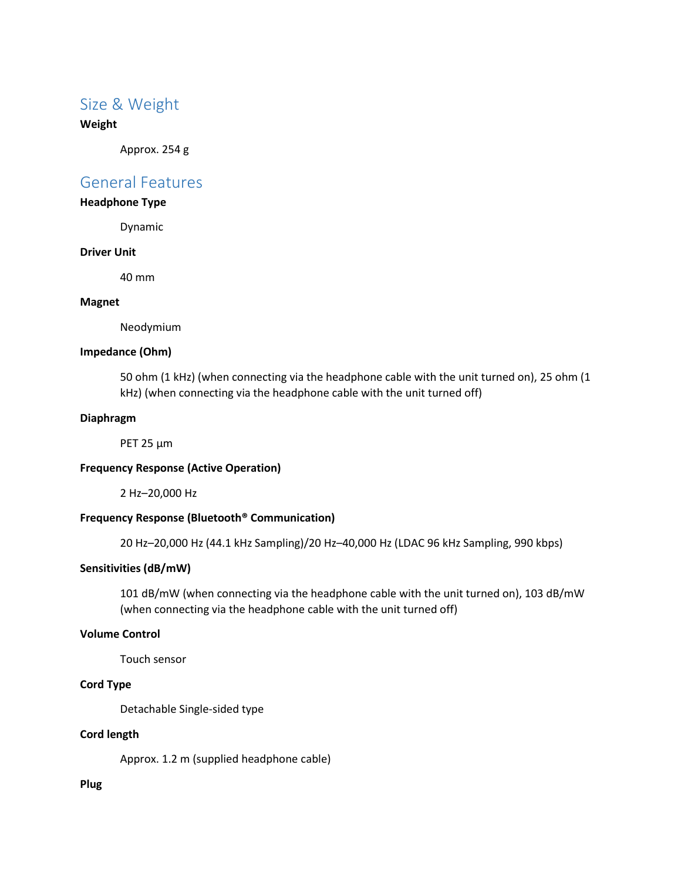## Size & Weight

#### **Weight**

Approx. 254 g

### General Features

#### **Headphone Type**

Dynamic

#### **Driver Unit**

40 mm

#### **Magnet**

Neodymium

#### **Impedance (Ohm)**

50 ohm (1 kHz) (when connecting via the headphone cable with the unit turned on), 25 ohm (1 kHz) (when connecting via the headphone cable with the unit turned off)

#### **Diaphragm**

PET 25 μm

#### **Frequency Response (Active Operation)**

2 Hz–20,000 Hz

#### **Frequency Response (Bluetooth® Communication)**

20 Hz–20,000 Hz (44.1 kHz Sampling)/20 Hz–40,000 Hz (LDAC 96 kHz Sampling, 990 kbps)

#### **Sensitivities (dB/mW)**

101 dB/mW (when connecting via the headphone cable with the unit turned on), 103 dB/mW (when connecting via the headphone cable with the unit turned off)

#### **Volume Control**

Touch sensor

#### **Cord Type**

Detachable Single-sided type

#### **Cord length**

Approx. 1.2 m (supplied headphone cable)

#### **Plug**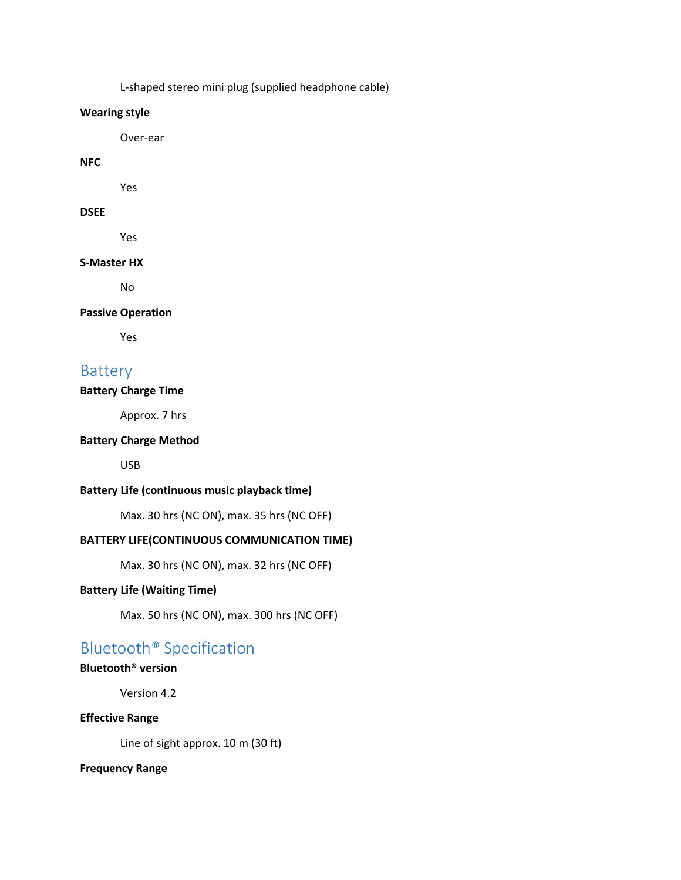L-shaped stereo mini plug (supplied headphone cable)

#### **Wearing style**

Over-ear

#### **NFC**

Yes

### **DSEE**

Yes

#### **S-Master HX**

No

#### **Passive Operation**

Yes

# Battery

#### **Battery Charge Time**

Approx. 7 hrs

#### **Battery Charge Method**

USB

#### **Battery Life (continuous music playback time)**

Max. 30 hrs (NC ON), max. 35 hrs (NC OFF)

### **BATTERY LIFE(CONTINUOUS COMMUNICATION TIME)**

Max. 30 hrs (NC ON), max. 32 hrs (NC OFF)

#### **Battery Life (Waiting Time)**

Max. 50 hrs (NC ON), max. 300 hrs (NC OFF)

# Bluetooth® Specification

### **Bluetooth® version**

Version 4.2

#### **Effective Range**

Line of sight approx. 10 m (30 ft)

#### **Frequency Range**